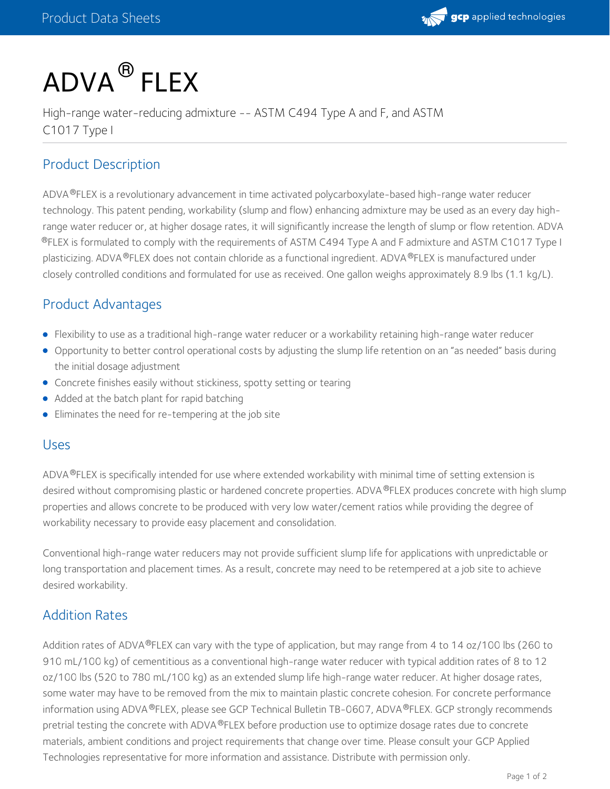

# $\mathsf{ADVA}^{\circledR}$  FLEX

High-range water-reducing admixture -- ASTM C494 Type A and F, and ASTM C1017 Type I

# Product Description

ADVA®FLEX is a revolutionary advancement in time activated polycarboxylate-based high-range water reducer technology. This patent pending, workability (slump and flow) enhancing admixture may be used as an every day highrange water reducer or, at higher dosage rates, it will significantly increase the length of slump or flow retention. ADVA  $^{\circledR}$ FLEX is formulated to comply with the requirements of ASTM C494 Type A and F admixture and ASTM C1017 Type I plasticizing. ADVA ®FLEX does not contain chloride as a functional ingredient. ADVA ®FLEX is manufactured under closely controlled conditions and formulated for use as received. One gallon weighs approximately 8.9 lbs (1.1 kg/L).

## Product Advantages

- Flexibility to use as a traditional high-range water reducer or a workability retaining high-range water reducer
- Opportunity to better control operational costs by adjusting the slump life retention on an "as needed" basis during the initial dosage adjustment
- Concrete finishes easily without stickiness, spotty setting or tearing
- Added at the batch plant for rapid batching
- Eliminates the need for re-tempering at the job site

#### Uses

ADVA®FLEX is specifically intended for use where extended workability with minimal time of setting extension is desired without compromising plastic or hardened concrete properties. ADVA ®FLEX produces concrete with high slump properties and allows concrete to be produced with very low water/cement ratios while providing the degree of workability necessary to provide easy placement and consolidation.

Conventional high-range water reducers may not provide sufficient slump life for applications with unpredictable or long transportation and placement times. As a result, concrete may need to be retempered at a job site to achieve desired workability.

## Addition Rates

Addition rates of ADVA®FLEX can vary with the type of application, but may range from 4 to 14 oz/100 lbs (260 to 910 mL/100 kg) of cementitious as a conventional high-range water reducer with typical addition rates of 8 to 12 oz/100 lbs (520 to 780 mL/100 kg) as an extended slump life high-range water reducer. At higher dosage rates, some water may have to be removed from the mix to maintain plastic concrete cohesion. For concrete performance information using ADVA ®FLEX, please see GCP Technical Bulletin [TB-0607](https://gcpat.com/node/6896), ADVA ®FLEX. GCP strongly recommends pretrial testing the concrete with ADVA®FLEX before production use to optimize dosage rates due to concrete materials, ambient conditions and project requirements that change over time. Please consult your GCP Applied Technologies representative for more information and assistance. Distribute with permission only.